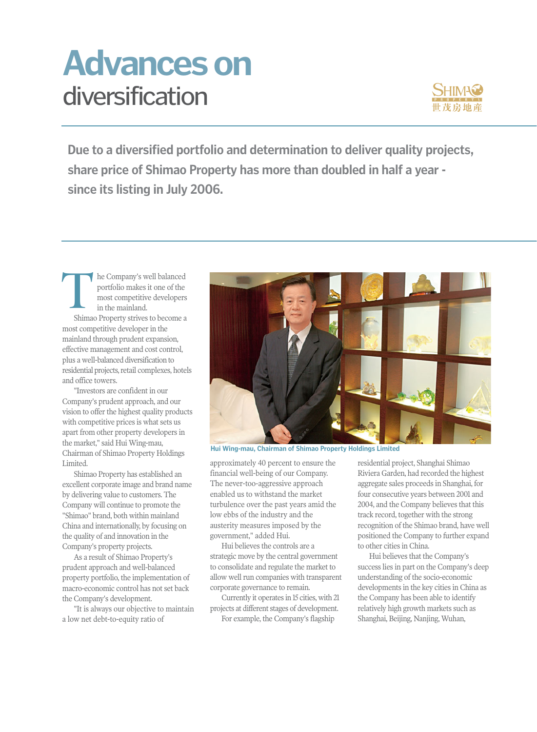## diversification **Advances on**



**Due to a diversified portfolio and determination to deliver quality projects, share price of Shimao Property has more than doubled in half a year since its listing in July 2006.** 

he Company's well balanced portfolio makes it one of the most competitive developers in the mainland. Shimao Property strives to become a most competitive developer in the mainland through prudent expansion, effective management and cost control, plus a well-balanced diversification to residential projects, retail complexes, hotels and office towers. **T** 

"Investors are confident in our Company's prudent approach, and our vision to offer the highest quality products with competitive prices is what sets us apart from other property developers in the market," said Hui Wing-mau, Chairman of Shimao Property Holdings Limited.

Shimao Property has established an excellent corporate image and brand name by delivering value to customers. The Company will continue to promote the "Shimao" brand, both within mainland China and internationally, by focusing on the quality of and innovation in the Company's property projects.

As a result of Shimao Property's prudent approach and well-balanced property portfolio, the implementation of macro-economic control has not set back the Company's development.

"It is always our objective to maintain a low net debt-to-equity ratio of



**Hui Wing-mau, Chairman of Shimao Property Holdings Limited**

approximately 40 percent to ensure the financial well-being of our Company. The never-too-aggressive approach enabled us to withstand the market turbulence over the past years amid the low ebbs of the industry and the austerity measures imposed by the government," added Hui.

Hui believes the controls are a strategic move by the central government to consolidate and regulate the market to allow well run companies with transparent corporate governance to remain.

Currently it operates in 15 cities, with 21 projects at different stages of development.

For example, the Company's flagship

residential project, Shanghai Shimao Riviera Garden, had recorded the highest aggregate sales proceeds in Shanghai, for four consecutive years between 2001 and 2004, and the Company believes that this track record, together with the strong recognition of the Shimao brand, have well positioned the Company to further expand to other cities in China.

Hui believes that the Company's success lies in part on the Company's deep understanding of the socio-economic developments in the key cities in China as the Company has been able to identify relatively high growth markets such as Shanghai, Beijing, Nanjing, Wuhan,